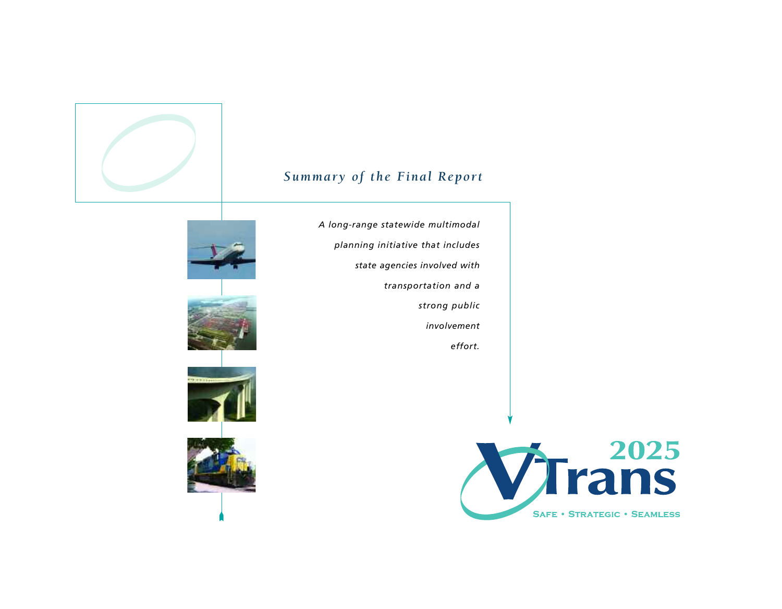## *Summary of the Final Report*

*A long-range statewide multimodal planning initiative that includes state agencies involved with transportation and a strong public involvement effort.*





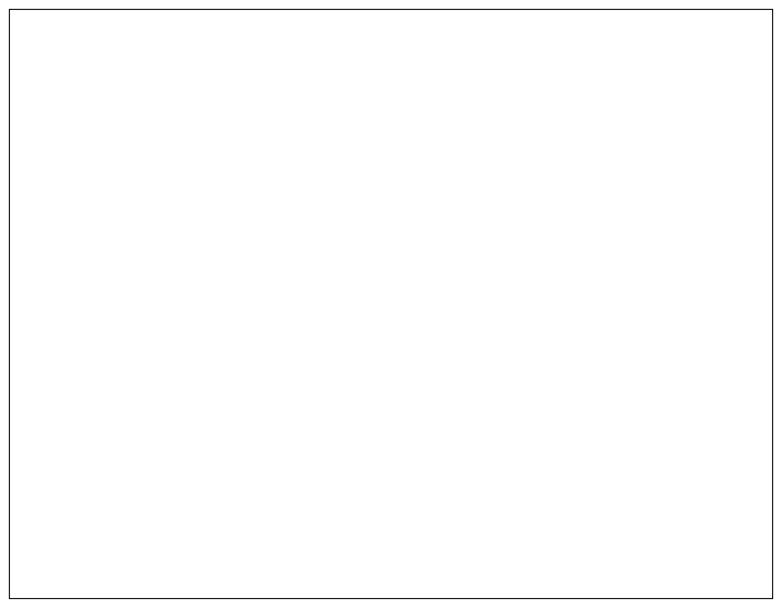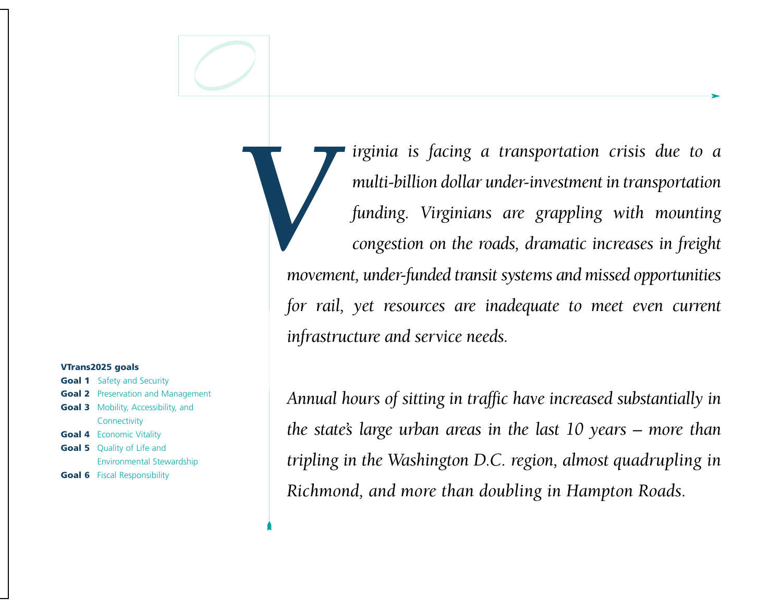#### **VTrans2025 goals**

- **Goal 1** Safety and Security
- **Goal 2** Preservation and Management
- **Goal 3** Mobility, Accessibility, and **Connectivity**
- **Goal 4** Economic Vitality
- **Goal 5** Quality of Life and Environmental Stewardship
- **Goal 6** Fiscal Responsibility

*irginia is facing a transportation crisis due to a multi-billion dollar under-investment in transportation funding. Virginians are grappling with mounting congestion on the roads, dramatic increases in freight movement, under-funded transit systems and missed opportunities for rail, yet resources are inadequate to meet even current infrastructure and service needs.*  **V**<br>MOVEME

*Annual hours of sitting in traffic have increased substantially in the state's large urban areas in the last 10 years – more than tripling in the Washington D.C. region, almost quadrupling in Richmond, and more than doubling in Hampton Roads.*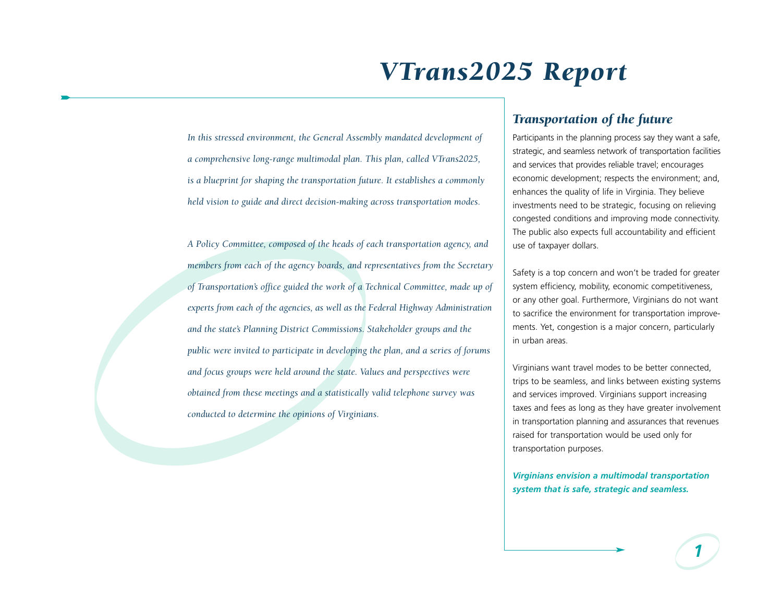## *VTrans2025 Report*

*In this stressed environment, the General Assembly mandated development of a comprehensive long-range multimodal plan. This plan, called VTrans2025, is a blueprint for shaping the transportation future. It establishes a commonly held vision to guide and direct decision-making across transportation modes.* 

*A Policy Committee, composed of the heads of each transportation agency, and members from each of the agency boards, and representatives from the Secretary of Transportation's office guided the work of a Technical Committee, made up of experts from each of the agencies, as well as the Federal Highway Administration and the state's Planning District Commissions. Stakeholder groups and the public were invited to participate in developing the plan, and a series of forums and focus groups were held around the state. Values and perspectives were obtained from these meetings and a statistically valid telephone survey was conducted to determine the opinions of Virginians.* 

## *Transportation of the future*

Participants in the planning process say they want a safe, strategic, and seamless network of transportation facilities and services that provides reliable travel; encourages economic development; respects the environment; and, enhances the quality of life in Virginia. They believe investments need to be strategic, focusing on relieving congested conditions and improving mode connectivity. The public also expects full accountability and efficient use of taxpayer dollars.

Safety is a top concern and won't be traded for greater system efficiency, mobility, economic competitiveness, or any other goal. Furthermore, Virginians do not want to sacrifice the environment for transportation improvements. Yet, congestion is a major concern, particularly in urban areas.

Virginians want travel modes to be better connected, trips to be seamless, and links between existing systems and services improved. Virginians support increasing taxes and fees as long as they have greater involvement in transportation planning and assurances that revenues raised for transportation would be used only for transportation purposes.

*Virginians envision a multimodal transportation system that is safe, strategic and seamless.*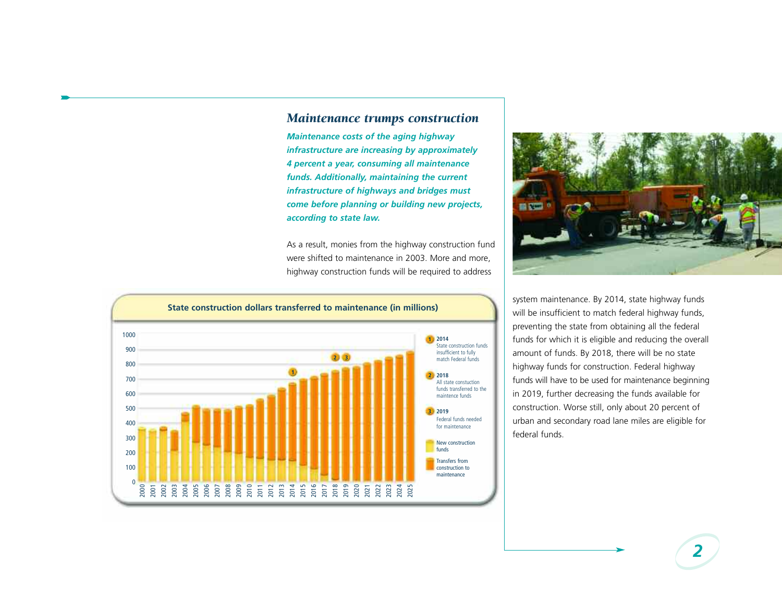## *Maintenance trumps construction*

*Maintenance costs of the aging highway infrastructure are increasing by approximately 4 percent a year, consuming all maintenance funds. Additionally, maintaining the current infrastructure of highways and bridges must come before planning or building new projects, according to state law.*

As a result, monies from the highway construction fund were shifted to maintenance in 2003. More and more, highway construction funds will be required to address





system maintenance. By 2014, state highway funds will be insufficient to match federal highway funds, preventing the state from obtaining all the federal funds for which it is eligible and reducing the overall amount of funds. By 2018, there will be no state highway funds for construction. Federal highway funds will have to be used for maintenance beginning in 2019, further decreasing the funds available for construction. Worse still, only about 20 percent of urban and secondary road lane miles are eligible for federal funds.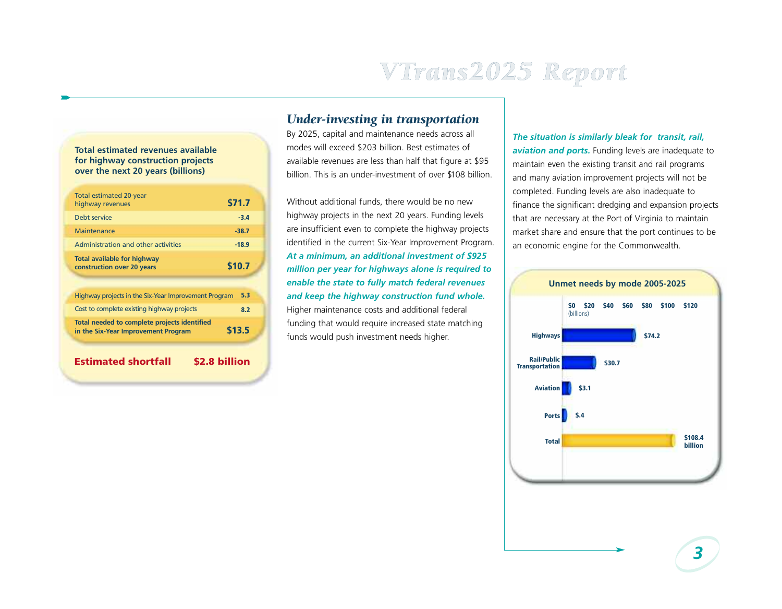## *VTrans2025 Report*

#### **Total estimated revenues available for highway construction projects over the next 20 years (billions)**

| <b>Total estimated 20-year</b><br>highway revenues                                  | \$71.7  |  |
|-------------------------------------------------------------------------------------|---------|--|
| Debt service                                                                        | $-3.4$  |  |
| Maintenance                                                                         | $-38.7$ |  |
| Administration and other activities                                                 | $-18.9$ |  |
| <b>Total available for highway</b><br>construction over 20 years                    | \$10.7  |  |
| Highway projects in the Six-Year Improvement Program                                | 5.3     |  |
| Cost to complete existing highway projects                                          | 8.2     |  |
| Total needed to complete projects identified<br>in the Six-Year Improvement Program | \$13.5  |  |

**\$2.8 billion**

**Estimated shortfall**

## *Under-investing in transportation*

By 2025, capital and maintenance needs across all modes will exceed \$203 billion. Best estimates of available revenues are less than half that figure at \$95 billion. This is an under-investment of over \$108 billion.

Without additional funds, there would be no new highway projects in the next 20 years. Funding levels are insufficient even to complete the highway projects identified in the current Six-Year Improvement Program. *At a minimum, an additional investment of \$925 million per year for highways alone is required to enable the state to fully match federal revenues and keep the highway construction fund whole.* Higher maintenance costs and additional federal funding that would require increased state matching funds would push investment needs higher.

*The situation is similarly bleak for transit, rail, aviation and ports.* Funding levels are inadequate to maintain even the existing transit and rail programs and many aviation improvement projects will not be completed. Funding levels are also inadequate to finance the significant dredging and expansion projects that are necessary at the Port of Virginia to maintain market share and ensure that the port continues to be an economic engine for the Commonwealth.

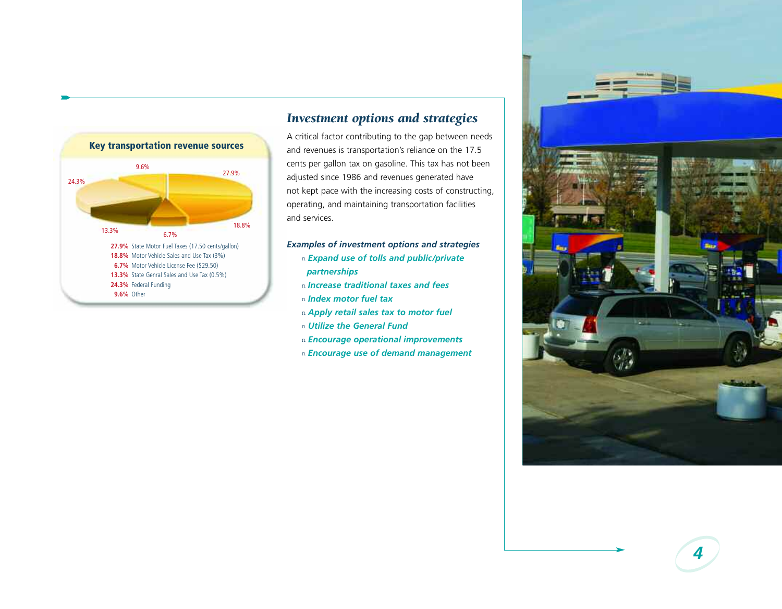

## *Investment options and strategies*

A critical factor contributing to the gap between needs and revenues is transportation's reliance on the 17.5 cents per gallon tax on gasoline. This tax has not been adjusted since 1986 and revenues generated have not kept pace with the increasing costs of constructing, operating, and maintaining transportation facilities and services.

#### *Examples of investment options and strategies*

- n *Expand use of tolls and public/private partnerships*
- n *Increase traditional taxes and fees*
- n *Index motor fuel tax*
- n *Apply retail sales tax to motor fuel*
- n *Utilize the General Fund*
- n *Encourage operational improvements*
- n *Encourage use of demand management*



*4*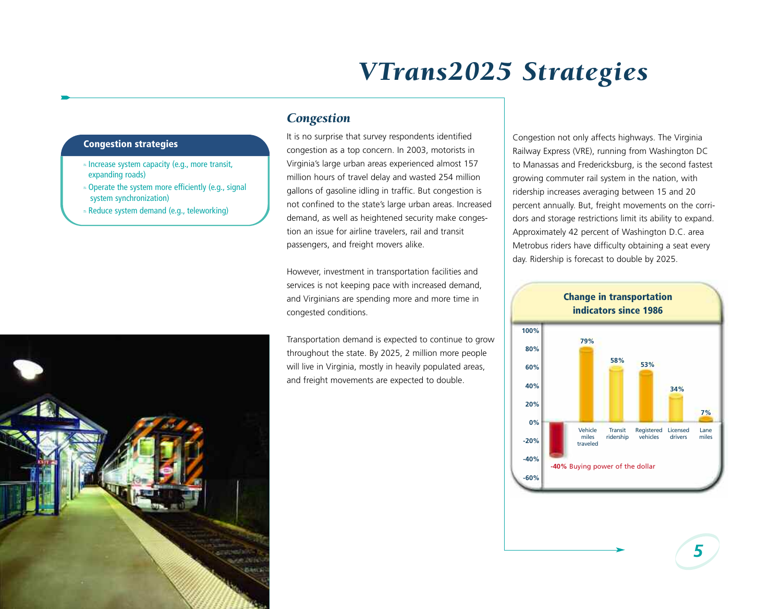## *VTrans2025 Strategies*

## **Congestion strategies**

- n Increase system capacity (e.g., more transit, expanding roads)
- n Operate the system more efficiently (e.g., signal system synchronization)
- n Reduce system demand (e.g., teleworking)

## *Congestion*

It is no surprise that survey respondents identified congestion as a top concern. In 2003, motorists in Virginia's large urban areas experienced almost 157 million hours of travel delay and wasted 254 million gallons of gasoline idling in traffic. But congestion is not confined to the state's large urban areas. Increased demand, as well as heightened security make congestion an issue for airline travelers, rail and transit passengers, and freight movers alike.

However, investment in transportation facilities and services is not keeping pace with increased demand, and Virginians are spending more and more time in congested conditions.

Transportation demand is expected to continue to grow throughout the state. By 2025, 2 million more people will live in Virginia, mostly in heavily populated areas, and freight movements are expected to double.

Congestion not only affects highways. The Virginia Railway Express (VRE), running from Washington DC to Manassas and Fredericksburg, is the second fastest growing commuter rail system in the nation, with ridership increases averaging between 15 and 20 percent annually. But, freight movements on the corridors and storage restrictions limit its ability to expand. Approximately 42 percent of Washington D.C. area Metrobus riders have difficulty obtaining a seat every day. Ridership is forecast to double by 2025.



*5*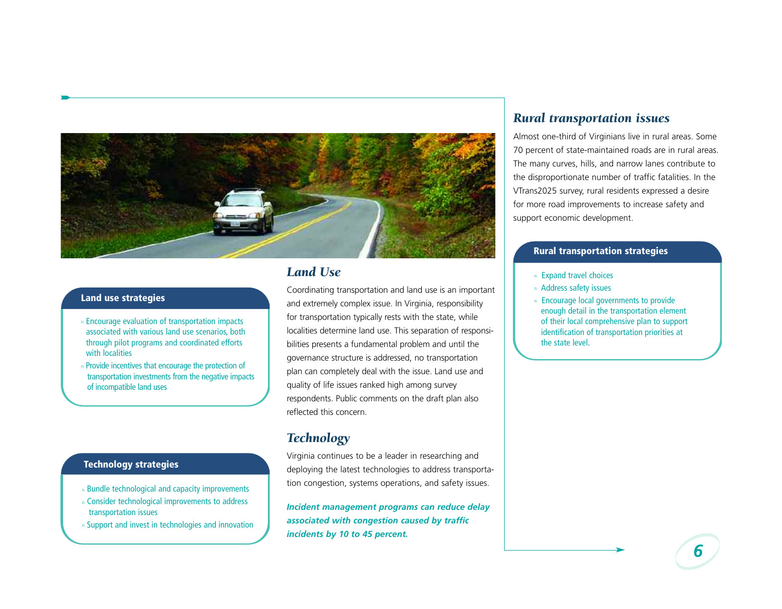

### **Land use strategies**

- <sup>n</sup> Encourage evaluation of transportation impacts associated with various land use scenarios, both through pilot programs and coordinated efforts with localities
- n Provide incentives that encourage the protection of transportation investments from the negative impacts of incompatible land uses

### **Technology strategies**

- n Bundle technological and capacity improvements
- n Consider technological improvements to address transportation issues
- n Support and invest in technologies and innovation

## *Land Use*

Coordinating transportation and land use is an important and extremely complex issue. In Virginia, responsibility for transportation typically rests with the state, while localities determine land use. This separation of responsibilities presents a fundamental problem and until the governance structure is addressed, no transportation plan can completely deal with the issue. Land use and quality of life issues ranked high among survey respondents. Public comments on the draft plan also reflected this concern.

## *Technology*

Virginia continues to be a leader in researching and deploying the latest technologies to address transportation congestion, systems operations, and safety issues.

*Incident management programs can reduce delay associated with congestion caused by traffic incidents by 10 to 45 percent.* 

## *Rural transportation issues*

Almost one-third of Virginians live in rural areas. Some 70 percent of state-maintained roads are in rural areas. The many curves, hills, and narrow lanes contribute to the disproportionate number of traffic fatalities. In the VTrans2025 survey, rural residents expressed a desire for more road improvements to increase safety and support economic development.

### **Rural transportation strategies**

- n Expand travel choices
- <sup>n</sup> Address safety issues
- n Encourage local governments to provide enough detail in the transportation element of their local comprehensive plan to support identification of transportation priorities at the state level.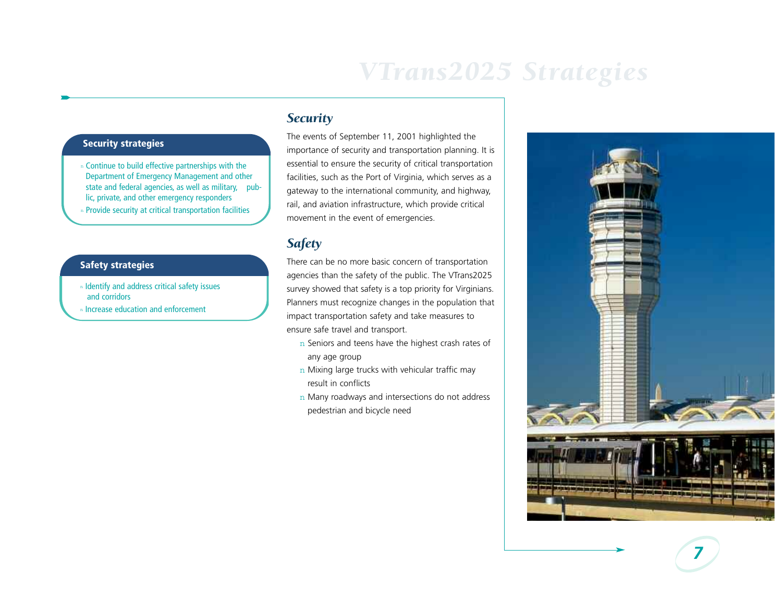# *VTrans2025 Strategies*

### **Security strategies**

<sup>n</sup> Continue to build effective partnerships with the Department of Emergency Management and other state and federal agencies, as well as military, public, private, and other emergency responders n Provide security at critical transportation facilities

### **Safety strategies**

- n Identify and address critical safety issues and corridors
- n Increase education and enforcement

## *Security*

The events of September 11, 2001 highlighted the importance of security and transportation planning. It is essential to ensure the security of critical transportation facilities, such as the Port of Virginia, which serves as a gateway to the international community, and highway, rail, and aviation infrastructure, which provide critical movement in the event of emergencies.

## *Safety*

There can be no more basic concern of transportation agencies than the safety of the public. The VTrans2025 survey showed that safety is a top priority for Virginians. Planners must recognize changes in the population that impact transportation safety and take measures to ensure safe travel and transport.

- n Seniors and teens have the highest crash rates of any age group
- n Mixing large trucks with vehicular traffic may result in conflicts
- n Many roadways and intersections do not address pedestrian and bicycle need

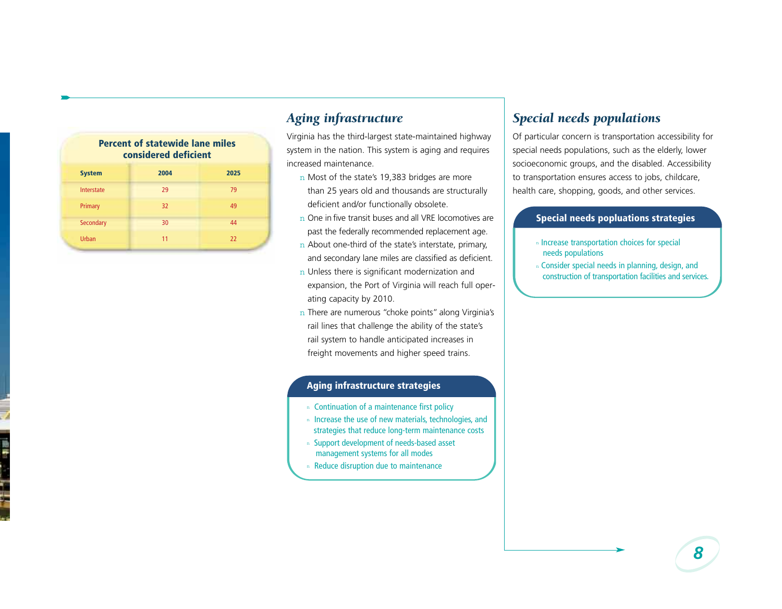| <b>Percent of statewide lane miles</b><br>considered deficient |      |      |  |
|----------------------------------------------------------------|------|------|--|
| <b>System</b>                                                  | 2004 | 2025 |  |
| Interstate                                                     | 29   | 79   |  |
| Primary                                                        | 32   | 49   |  |
| Secondary                                                      | 30   | 44   |  |
| <b>Urban</b>                                                   | 11   | 22   |  |

## *Aging infrastructure*

Virginia has the third-largest state-maintained highway system in the nation. This system is aging and requires increased maintenance.

- n Most of the state's 19,383 bridges are more than 25 years old and thousands are structurally deficient and/or functionally obsolete.
- n One in five transit buses and all VRE locomotives are past the federally recommended replacement age.
- n About one-third of the state's interstate, primary, and secondary lane miles are classified as deficient.
- n Unless there is significant modernization and expansion, the Port of Virginia will reach full operating capacity by 2010.
- n There are numerous "choke points" along Virginia's rail lines that challenge the ability of the state's rail system to handle anticipated increases in freight movements and higher speed trains.

### **Aging infrastructure strategies**

- n Continuation of a maintenance first policy
- n Increase the use of new materials, technologies, and strategies that reduce long-term maintenance costs
- <sup>n</sup> Support development of needs-based asset management systems for all modes
- n Reduce disruption due to maintenance

## *Special needs populations*

Of particular concern is transportation accessibility for special needs populations, such as the elderly, lower socioeconomic groups, and the disabled. Accessibility to transportation ensures access to jobs, childcare, health care, shopping, goods, and other services.

## **Special needs popluations strategies**

- <sup>n</sup> Increase transportation choices for special needs populations
- n Consider special needs in planning, design, and construction of transportation facilities and services.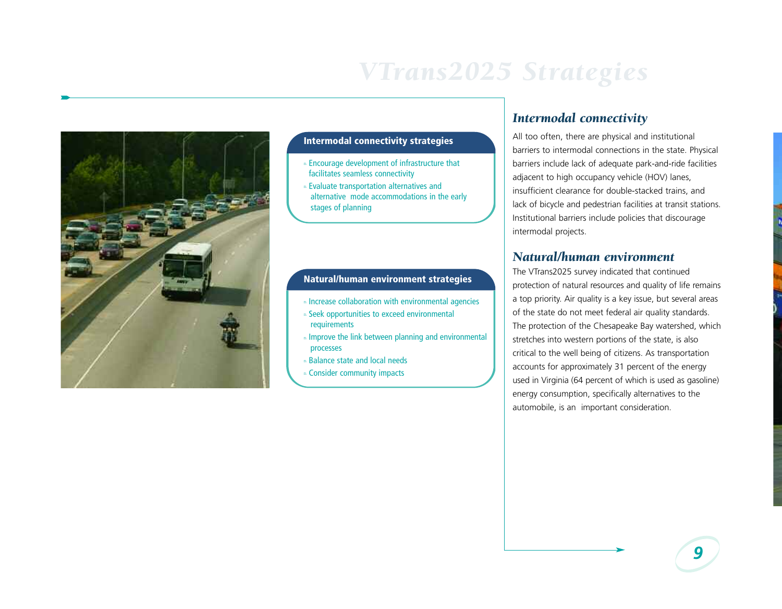# *VTrans2025 Strategies*



## **Intermodal connectivity strategies**

- <sup>n</sup> Encourage development of infrastructure that facilitates seamless connectivity
- n Evaluate transportation alternatives and alternative mode accommodations in the early stages of planning

## **Natural/human environment strategies**

- n Increase collaboration with environmental agencies
- <sup>n</sup> Seek opportunities to exceed environmental requirements
- n Improve the link between planning and environmental processes
- <sup>n</sup> Balance state and local needs
- <sup>n</sup> Consider community impacts

## *Intermodal connectivity*

All too often, there are physical and institutional barriers to intermodal connections in the state. Physical barriers include lack of adequate park-and-ride facilities adjacent to high occupancy vehicle (HOV) lanes, insufficient clearance for double-stacked trains, and lack of bicycle and pedestrian facilities at transit stations. Institutional barriers include policies that discourage intermodal projects.

## *Natural/human environment*

The VTrans2025 survey indicated that continued protection of natural resources and quality of life remains a top priority. Air quality is a key issue, but several areas of the state do not meet federal air quality standards. The protection of the Chesapeake Bay watershed, which stretches into western portions of the state, is also critical to the well being of citizens. As transportation accounts for approximately 31 percent of the energy used in Virginia (64 percent of which is used as gasoline) energy consumption, specifically alternatives to the automobile, is an important consideration.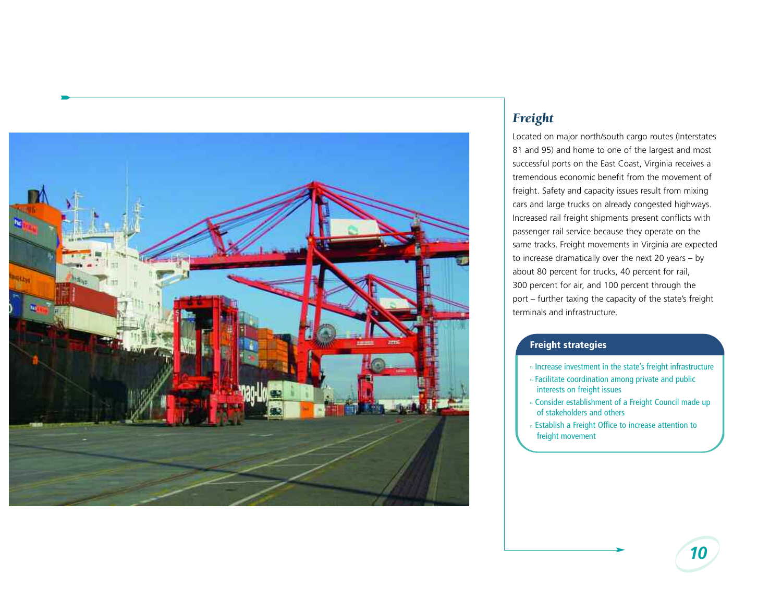

## *Freight*

Located on major north/south cargo routes (Interstates 81 and 95) and home to one of the largest and most successful ports on the East Coast, Virginia receives a tremendous economic benefit from the movement of freight. Safety and capacity issues result from mixing cars and large trucks on already congested highways. Increased rail freight shipments present conflicts with passenger rail service because they operate on the same tracks. Freight movements in Virginia are expected to increase dramatically over the next 20 years – by about 80 percent for trucks, 40 percent for rail, 300 percent for air, and 100 percent through the port – further taxing the capacity of the state's freight terminals and infrastructure.

## **Freight strategies**

- <sup>n</sup> Increase investment in the state's freight infrastructure
- <sup>n</sup> Facilitate coordination among private and public interests on freight issues
- <sup>n</sup> Consider establishment of a Freight Council made up of stakeholders and others
- n Establish a Freight Office to increase attention to freight movement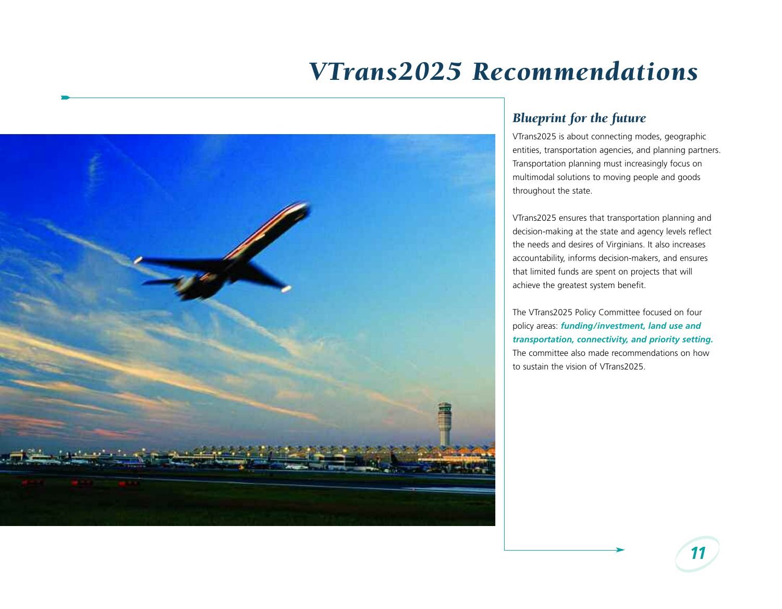## *VTrans2025 Recommendations*



## *Blueprint for the future*

VTrans2025 is about connecting modes, geographic entities, transportation agencies, and planning partners. Transportation planning must increasingly focus on multimodal solutions to moving people and goods throughout the state.

VTrans2025 ensures that transportation planning and decision-making at the state and agency levels reflect the needs and desires of Virginians. It also increases accountability, informs decision-makers, and ensures that limited funds are spent on projects that will achieve the greatest system benefit.

The VTrans2025 Policy Committee focused on four policy areas: *funding/investment, land use and transportation, connectivity, and priority setting.* The committee also made recommendations on how to sustain the vision of VTrans2025.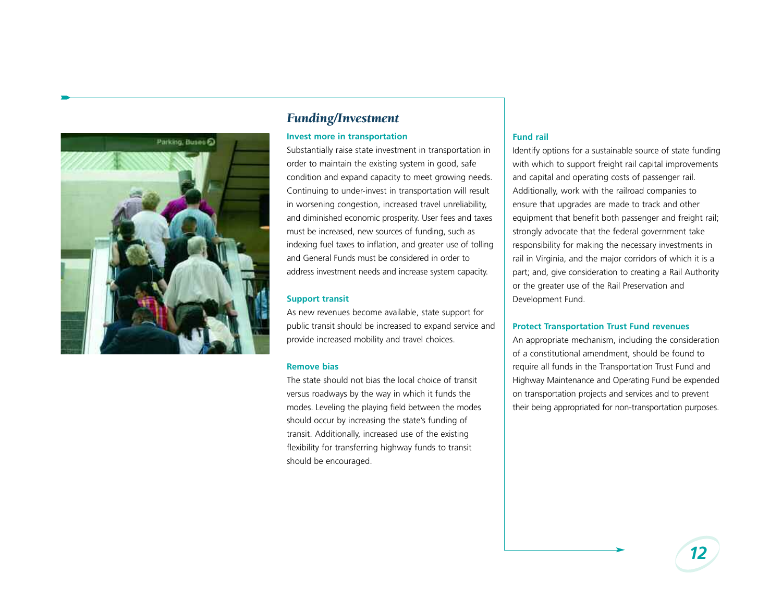

## *Funding/Investment*

#### **Invest more in transportation**

Substantially raise state investment in transportation in order to maintain the existing system in good, safe condition and expand capacity to meet growing needs. Continuing to under-invest in transportation will result in worsening congestion, increased travel unreliability, and diminished economic prosperity. User fees and taxes must be increased, new sources of funding, such as indexing fuel taxes to inflation, and greater use of tolling and General Funds must be considered in order to address investment needs and increase system capacity.

#### **Support transit**

As new revenues become available, state support for public transit should be increased to expand service and provide increased mobility and travel choices.

#### **Remove bias**

The state should not bias the local choice of transit versus roadways by the way in which it funds the modes. Leveling the playing field between the modes should occur by increasing the state's funding of transit. Additionally, increased use of the existing flexibility for transferring highway funds to transit should be encouraged.

#### **Fund rail**

Identify options for a sustainable source of state funding with which to support freight rail capital improvements and capital and operating costs of passenger rail. Additionally, work with the railroad companies to ensure that upgrades are made to track and other equipment that benefit both passenger and freight rail; strongly advocate that the federal government take responsibility for making the necessary investments in rail in Virginia, and the major corridors of which it is a part; and, give consideration to creating a Rail Authority or the greater use of the Rail Preservation and Development Fund.

#### **Protect Transportation Trust Fund revenues**

An appropriate mechanism, including the consideration of a constitutional amendment, should be found to require all funds in the Transportation Trust Fund and Highway Maintenance and Operating Fund be expended on transportation projects and services and to prevent their being appropriated for non-transportation purposes.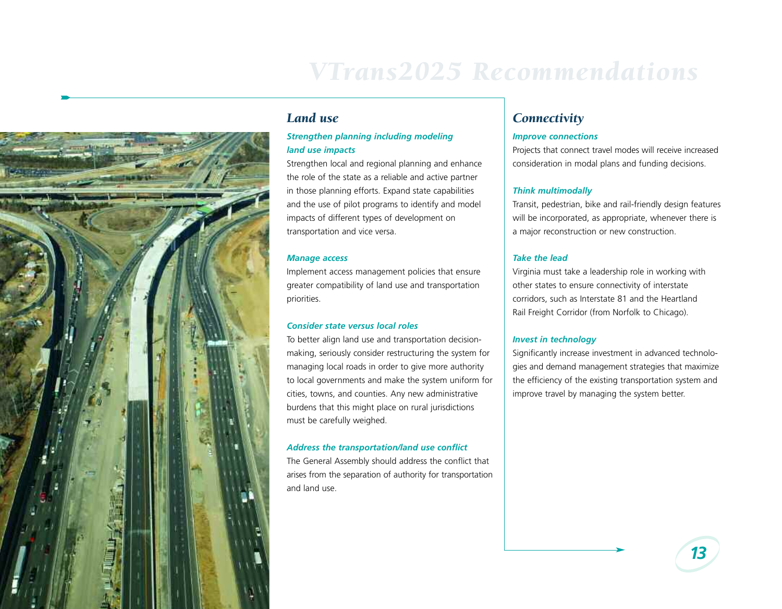## *VTrans2025 Recommendations*



## *Land use*

### *Strengthen planning including modeling land use impacts*

Strengthen local and regional planning and enhance the role of the state as a reliable and active partner in those planning efforts. Expand state capabilities and the use of pilot programs to identify and model impacts of different types of development on transportation and vice versa.

#### *Manage access*

Implement access management policies that ensure greater compatibility of land use and transportation priorities.

### *Consider state versus local roles*

To better align land use and transportation decisionmaking, seriously consider restructuring the system for managing local roads in order to give more authority to local governments and make the system uniform for cities, towns, and counties. Any new administrative burdens that this might place on rural jurisdictions must be carefully weighed.

#### *Address the transportation/land use conflict*

The General Assembly should address the conflict that arises from the separation of authority for transportation and land use.

## *Connectivity*

#### *Improve connections*

Projects that connect travel modes will receive increased consideration in modal plans and funding decisions.

### *Think multimodally*

Transit, pedestrian, bike and rail-friendly design features will be incorporated, as appropriate, whenever there is a major reconstruction or new construction.

### *Take the lead*

Virginia must take a leadership role in working with other states to ensure connectivity of interstate corridors, such as Interstate 81 and the Heartland Rail Freight Corridor (from Norfolk to Chicago).

### *Invest in technology*

Significantly increase investment in advanced technologies and demand management strategies that maximize the efficiency of the existing transportation system and improve travel by managing the system better.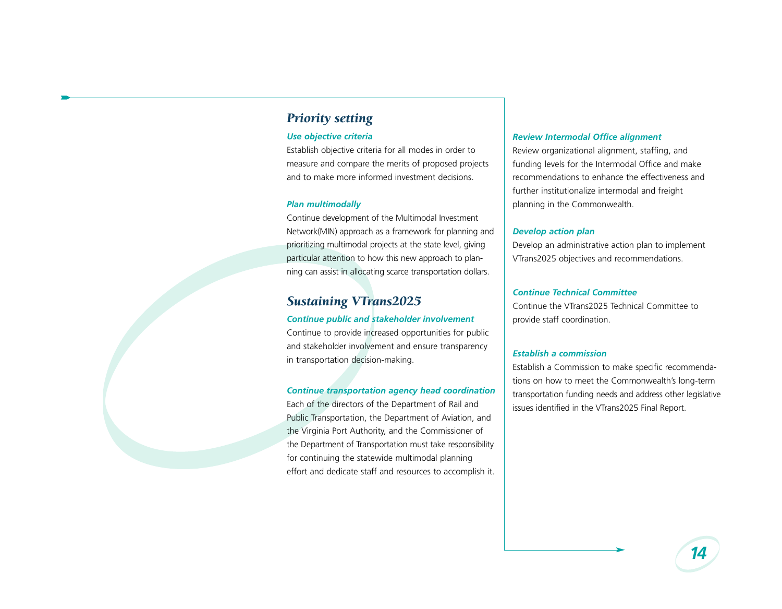## *Priority setting*

#### *Use objective criteria*

Establish objective criteria for all modes in order to measure and compare the merits of proposed projects and to make more informed investment decisions.

#### *Plan multimodally*

Continue development of the Multimodal Investment Network(MIN) approach as a framework for planning and prioritizing multimodal projects at the state level, giving particular attention to how this new approach to planning can assist in allocating scarce transportation dollars.

## *Sustaining VTrans2025*

#### *Continue public and stakeholder involvement*

Continue to provide increased opportunities for public and stakeholder involvement and ensure transparency in transportation decision-making.

#### *Continue transportation agency head coordination*

Each of the directors of the Department of Rail and Public Transportation, the Department of Aviation, and the Virginia Port Authority, and the Commissioner of the Department of Transportation must take responsibility for continuing the statewide multimodal planning effort and dedicate staff and resources to accomplish it.

#### *Review Intermodal Office alignment*

Review organizational alignment, staffing, and funding levels for the Intermodal Office and make recommendations to enhance the effectiveness and further institutionalize intermodal and freight planning in the Commonwealth.

#### *Develop action plan*

Develop an administrative action plan to implement VTrans2025 objectives and recommendations.

#### *Continue Technical Committee*

Continue the VTrans2025 Technical Committee to provide staff coordination.

#### *Establish a commission*

Establish a Commission to make specific recommendations on how to meet the Commonwealth's long-term transportation funding needs and address other legislative issues identified in the VTrans2025 Final Report.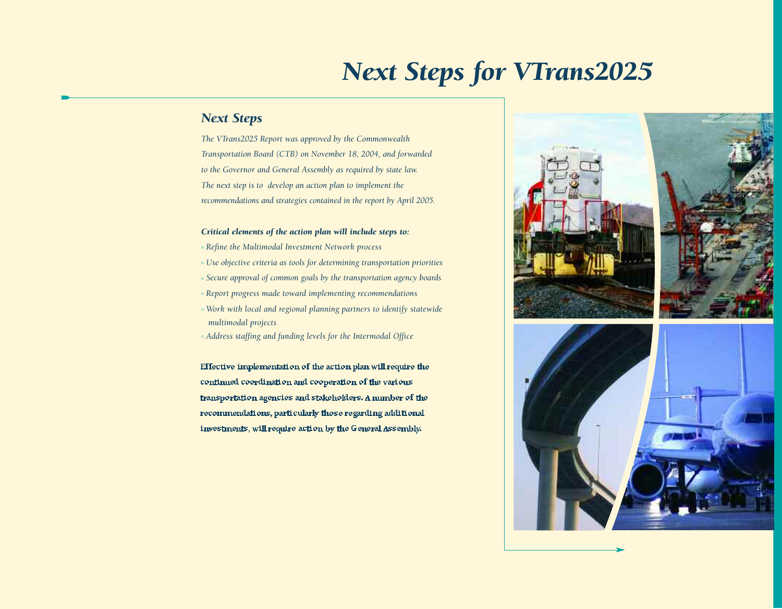## *Next Steps for VTrans2025*

## *Next Steps*

*The VTrans2025 Report was approved by the Commonwealth Transportation Board (CTB) on November 18, 2004, and forwarded to the Governor and General Assembly as required by state law. The next step is to develop an action plan to implement the recommendations and strategies contained in the report by April 2005.* 

#### *Critical elements of the action plan will include steps to:*

- <sup>n</sup> *Refine the Multimodal Investment Network process*
- <sup>n</sup> *Use objective criteria as tools for determining transportation priorities*
- <sup>n</sup> *Secure approval of common goals by the transportation agency boards*
- <sup>n</sup> *Report progress made toward implementing recommendations*
- <sup>n</sup> *Work with local and regional planning partners to identify statewide multimodal projects*
- <sup>n</sup> *Address staffing and funding levels for the Intermodal Office*

Effective implementation of the action plan will require the continued coordination and cooperation of the various transportation agencies and stakeholders. A number of the recommendations, particularly those regarding additional investments, will require action by the General Assembly.

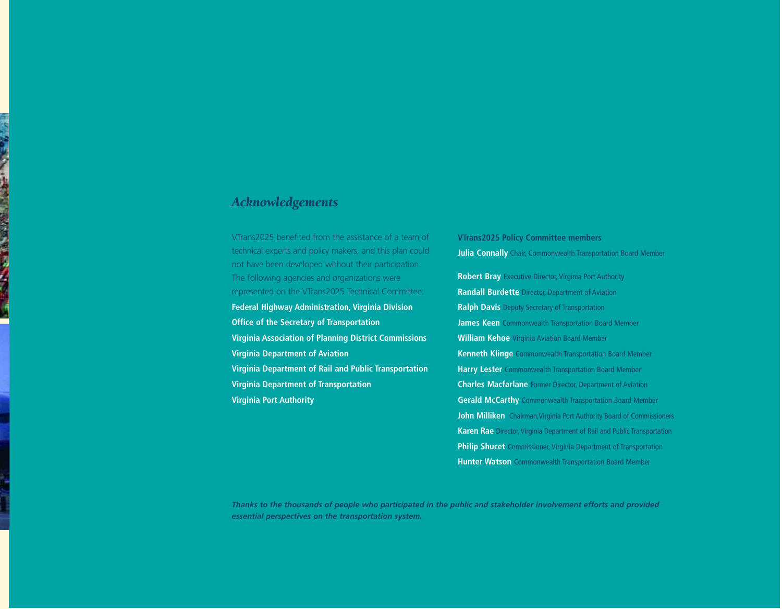## *Acknowledgements*

VTrans2025 benefited from the assistance of a team of technical experts and policy makers, and this plan could not have been developed without their participation. The following agencies and organizations were represented on the VTrans2025 Technical Committee: **Federal Highway Administration, Virginia Division Office of the Secretary of Transportation Virginia Association of Planning District Commissions Virginia Department of Aviation Virginia Department of Rail and Public Transportation Virginia Department of Transportation Virginia Port Authority**

**VTrans2025 Policy Committee members Julia Connally** Chair, Commonwealth Transportation Board Member **Robert Bray** Executive Director, Virginia Port Authority **Randall Burdette** Director, Department of Aviation **Ralph Davis** Deputy Secretary of Transportation **James Keen** Commonwealth Transportation Board Member **William Kehoe** Virginia Aviation Board Member **Kenneth Klinge** Commonwealth Transportation Board Member **Harry Lester** Commonwealth Transportation Board Member **Charles Macfarlane** Former Director, Department of Aviation **Gerald McCarthy** Commonwealth Transportation Board Member **John Milliken** Chairman, Virginia Port Authority Board of Commissioners **Karen Rae Director, Virginia Department of Rail and Public Transportation Philip Shucet Commissioner, Virginia Department of Transportation Hunter Watson** Commonwealth Transportation Board Member

*Thanks to the thousands of people who participated in the public and stakeholder involvement efforts and provided essential perspectives on the transportation system.*